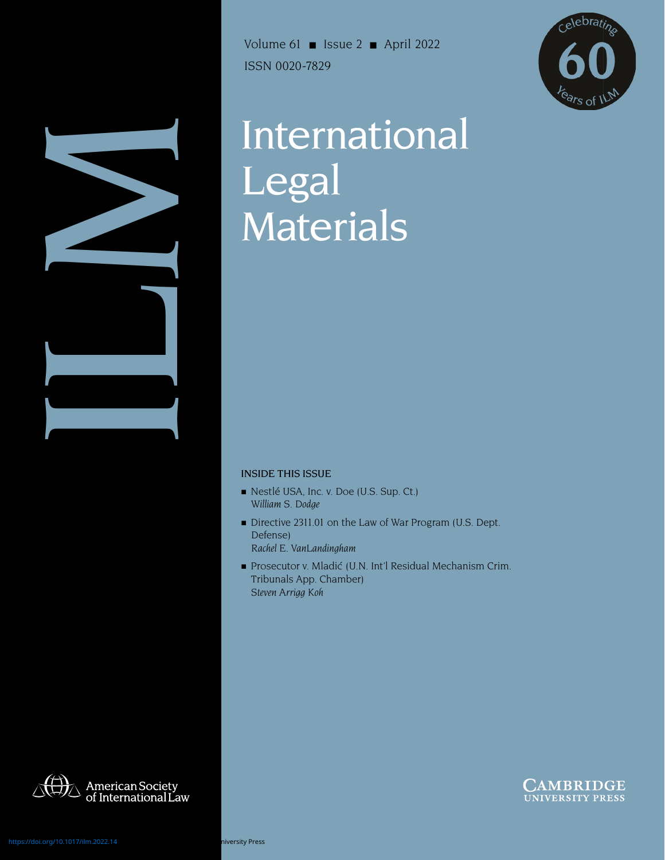Volume 61 **■** Issue 2 ■ April 2022 ISSN 0020-7829



# International Legal Materials



- Nestlé USA, Inc. v. Doe (U.S. Sup. Ct.) *William S. Dodge*
- Directive 2311.01 on the Law of War Program (U.S. Dept. Defense) *Rachel E. VanLandingham*
- Prosecutor v. Mladić (U.N. Int'l Residual Mechanism Crim. Tribunals App. Chamber) *Steven Arrigg Koh*





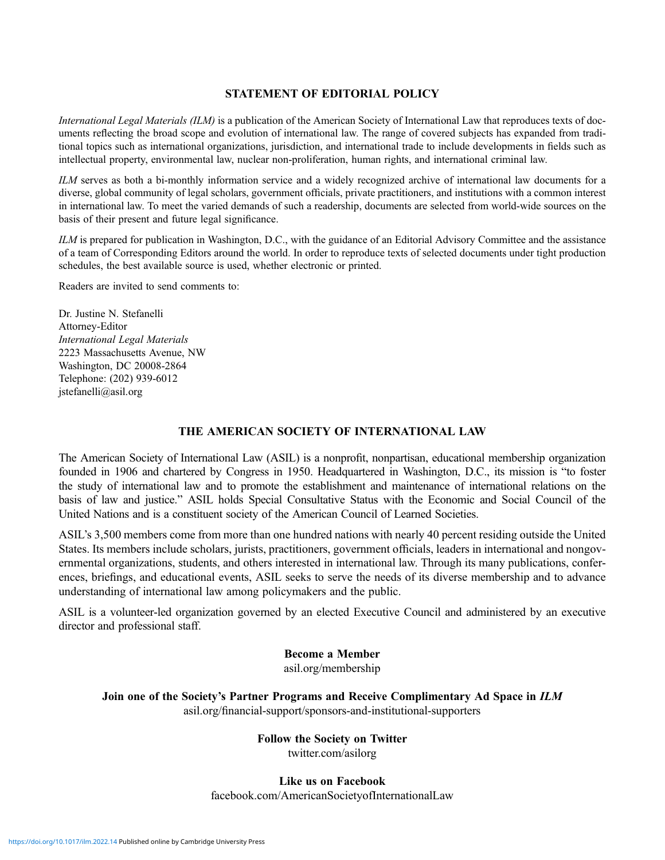#### STATEMENT OF EDITORIAL POLICY

International Legal Materials (ILM) is a publication of the American Society of International Law that reproduces texts of documents reflecting the broad scope and evolution of international law. The range of covered subjects has expanded from traditional topics such as international organizations, jurisdiction, and international trade to include developments in fields such as intellectual property, environmental law, nuclear non-proliferation, human rights, and international criminal law.

ILM serves as both a bi-monthly information service and a widely recognized archive of international law documents for a diverse, global community of legal scholars, government officials, private practitioners, and institutions with a common interest in international law. To meet the varied demands of such a readership, documents are selected from world-wide sources on the basis of their present and future legal significance.

 $ILM$  is prepared for publication in Washington, D.C., with the guidance of an Editorial Advisory Committee and the assistance of a team of Corresponding Editors around the world. In order to reproduce texts of selected documents under tight production schedules, the best available source is used, whether electronic or printed.

Readers are invited to send comments to:

Dr. Justine N. Stefanelli Attorney-Editor International Legal Materials 2223 Massachusetts Avenue, NW Washington, DC 20008-2864 Telephone: (202) 939-6012 jstefanelli@asil.org

#### THE AMERICAN SOCIETY OF INTERNATIONAL LAW

The American Society of International Law (ASIL) is a nonprofit, nonpartisan, educational membership organization founded in 1906 and chartered by Congress in 1950. Headquartered in Washington, D.C., its mission is "to foster the study of international law and to promote the establishment and maintenance of international relations on the basis of law and justice." ASIL holds Special Consultative Status with the Economic and Social Council of the United Nations and is a constituent society of the American Council of Learned Societies.

ASIL's 3,500 members come from more than one hundred nations with nearly 40 percent residing outside the United States. Its members include scholars, jurists, practitioners, government officials, leaders in international and nongovernmental organizations, students, and others interested in international law. Through its many publications, conferences, briefings, and educational events, ASIL seeks to serve the needs of its diverse membership and to advance understanding of international law among policymakers and the public.

ASIL is a volunteer-led organization governed by an elected Executive Council and administered by an executive director and professional staff.

> Become a Member asil.org/membership

Join one of the Society's Partner Programs and Receive Complimentary Ad Space in ILM asil.org/financial-support/sponsors-and-institutional-supporters

> Follow the Society on Twitter twitter.com/asilorg

Like us on Facebook facebook.com/AmericanSocietyofInternationalLaw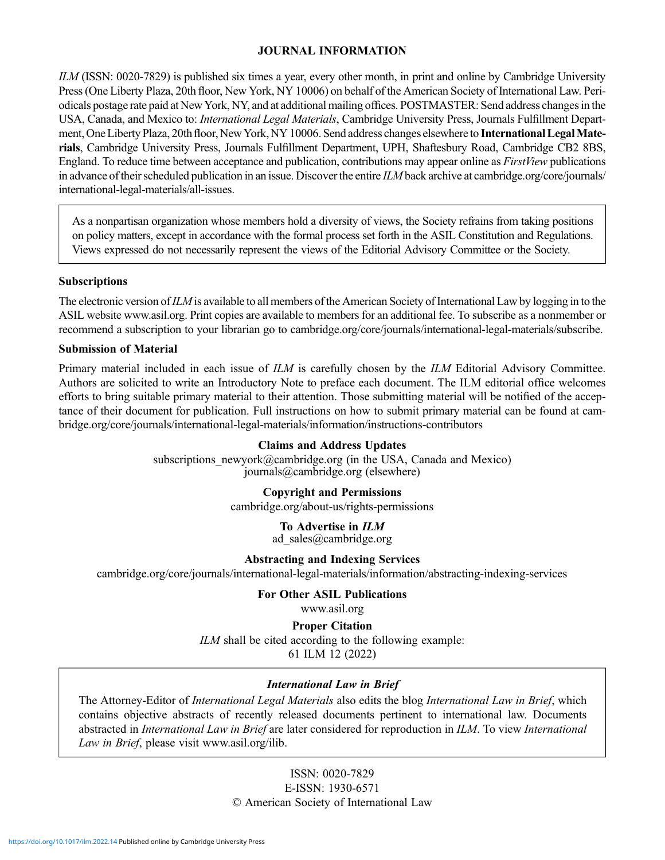#### JOURNAL INFORMATION

ILM (ISSN: 0020-7829) is published six times a year, every other month, in print and online by Cambridge University Press (One Liberty Plaza, 20th floor, New York, NY 10006) on behalf of the American Society of International Law. Periodicals postage rate paid at New York, NY, and at additional mailing offices. POSTMASTER: Send address changes in the USA, Canada, and Mexico to: International Legal Materials, Cambridge University Press, Journals Fulfillment Department, One Liberty Plaza, 20th floor, New York, NY 10006. Send address changes elsewhere to International Legal Materials, Cambridge University Press, Journals Fulfillment Department, UPH, Shaftesbury Road, Cambridge CB2 8BS, England. To reduce time between acceptance and publication, contributions may appear online as FirstView publications in advance of their scheduled publication in an issue. Discover the entire  $ILM$  back archive at cambridge.org/core/journals/ international-legal-materials/all-issues.

As a nonpartisan organization whose members hold a diversity of views, the Society refrains from taking positions on policy matters, except in accordance with the formal process set forth in the ASIL Constitution and Regulations. Views expressed do not necessarily represent the views of the Editorial Advisory Committee or the Society.

#### Subscriptions

The electronic version of  $ILM$  is available to all members of the American Society of International Law by logging in to the ASIL website www.asil.org. Print copies are available to members for an additional fee. To subscribe as a nonmember or recommend a subscription to your librarian go to cambridge.org/core/journals/international-legal-materials/subscribe.

#### Submission of Material

Primary material included in each issue of ILM is carefully chosen by the ILM Editorial Advisory Committee. Authors are solicited to write an Introductory Note to preface each document. The ILM editorial office welcomes efforts to bring suitable primary material to their attention. Those submitting material will be notified of the acceptance of their document for publication. Full instructions on how to submit primary material can be found at cambridge.org/core/journals/international-legal-materials/information/instructions-contributors

#### Claims and Address Updates

subscriptions  $newyork@cambridge.org$  (in the USA, Canada and Mexico) journals@cambridge.org (elsewhere)

#### Copyright and Permissions

cambridge.org/about-us/rights-permissions

### To Advertise in ILM

ad sales@cambridge.org

#### Abstracting and Indexing Services

cambridge.org/core/journals/international-legal-materials/information/abstracting-indexing-services

#### For Other ASIL Publications www.asil.org

Proper Citation ILM shall be cited according to the following example: 61 ILM 12 (2022)

#### International Law in Brief

The Attorney-Editor of International Legal Materials also edits the blog International Law in Brief, which contains objective abstracts of recently released documents pertinent to international law. Documents abstracted in International Law in Brief are later considered for reproduction in ILM. To view International Law in Brief, please visit www.asil.org/ilib.

> ISSN: 0020-7829 E-ISSN: 1930-6571 © American Society of International Law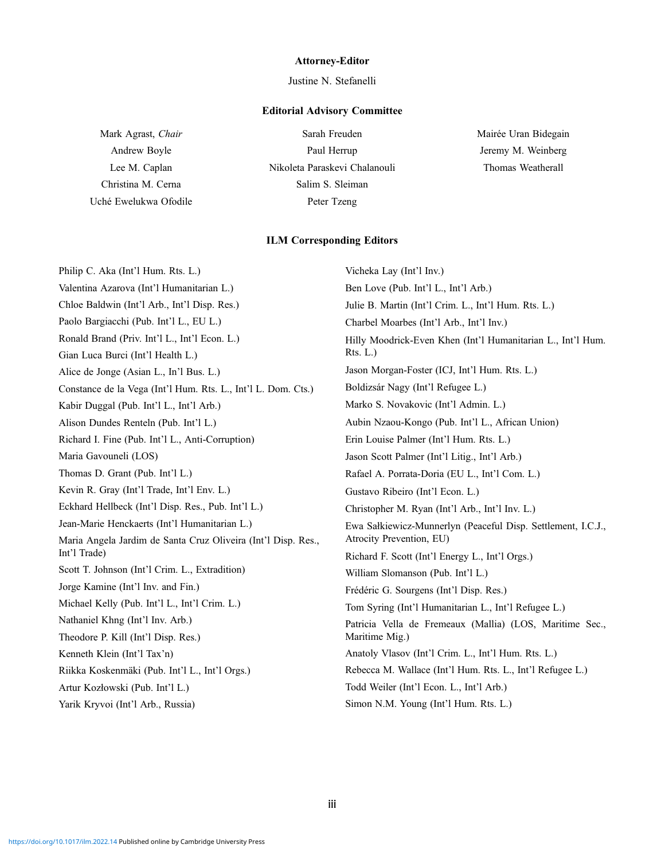#### Attorney-Editor

#### Justine N. Stefanelli

#### Editorial Advisory Committee

Mark Agrast, Chair Andrew Boyle Lee M. Caplan Christina M. Cerna Uché Ewelukwa Ofodile

Sarah Freuden Paul Herrup Nikoleta Paraskevi Chalanouli Salim S. Sleiman Peter Tzeng

#### Mairée Uran Bidegain Jeremy M. Weinberg Thomas Weatherall

#### ILM Corresponding Editors

Philip C. Aka (Int'l Hum. Rts. L.) Valentina Azarova (Int'l Humanitarian L.) Chloe Baldwin (Int'l Arb., Int'l Disp. Res.) Paolo Bargiacchi (Pub. Int'l L., EU L.) Ronald Brand (Priv. Int'l L., Int'l Econ. L.) Gian Luca Burci (Int'l Health L.) Alice de Jonge (Asian L., In'l Bus. L.) Constance de la Vega (Int'l Hum. Rts. L., Int'l L. Dom. Cts.) Kabir Duggal (Pub. Int'l L., Int'l Arb.) Alison Dundes Renteln (Pub. Int'l L.) Richard I. Fine (Pub. Int'l L., Anti-Corruption) Maria Gavouneli (LOS) Thomas D. Grant (Pub. Int'l L.) Kevin R. Gray (Int'l Trade, Int'l Env. L.) Eckhard Hellbeck (Int'l Disp. Res., Pub. Int'l L.) Jean-Marie Henckaerts (Int'l Humanitarian L.) Maria Angela Jardim de Santa Cruz Oliveira (Int'l Disp. Res., Int'l Trade) Scott T. Johnson (Int'l Crim. L., Extradition) Jorge Kamine (Int'l Inv. and Fin.) Michael Kelly (Pub. Int'l L., Int'l Crim. L.) Nathaniel Khng (Int'l Inv. Arb.) Theodore P. Kill (Int'l Disp. Res.) Kenneth Klein (Int'l Tax'n) Riikka Koskenmäki (Pub. Int'l L., Int'l Orgs.) Artur Kozłowski (Pub. Int'l L.) Yarik Kryvoi (Int'l Arb., Russia) Rts. L.)

Vicheka Lay (Int'l Inv.) Ben Love (Pub. Int'l L., Int'l Arb.) Julie B. Martin (Int'l Crim. L., Int'l Hum. Rts. L.) Charbel Moarbes (Int'l Arb., Int'l Inv.) Hilly Moodrick-Even Khen (Int'l Humanitarian L., Int'l Hum. Jason Morgan-Foster (ICJ, Int'l Hum. Rts. L.) Boldizsár Nagy (Int'l Refugee L.) Marko S. Novakovic (Int'l Admin. L.) Aubin Nzaou-Kongo (Pub. Int'l L., African Union) Erin Louise Palmer (Int'l Hum. Rts. L.) Jason Scott Palmer (Int'l Litig., Int'l Arb.) Rafael A. Porrata-Doria (EU L., Int'l Com. L.) Gustavo Ribeiro (Int'l Econ. L.) Christopher M. Ryan (Int'l Arb., Int'l Inv. L.) Ewa Sałkiewicz-Munnerlyn (Peaceful Disp. Settlement, I.C.J., Atrocity Prevention, EU) Richard F. Scott (Int'l Energy L., Int'l Orgs.) William Slomanson (Pub. Int'l L.) Frédéric G. Sourgens (Int'l Disp. Res.) Tom Syring (Int'l Humanitarian L., Int'l Refugee L.) Patricia Vella de Fremeaux (Mallia) (LOS, Maritime Sec., Maritime Mig.) Anatoly Vlasov (Int'l Crim. L., Int'l Hum. Rts. L.) Rebecca M. Wallace (Int'l Hum. Rts. L., Int'l Refugee L.) Todd Weiler (Int'l Econ. L., Int'l Arb.) Simon N.M. Young (Int'l Hum. Rts. L.)